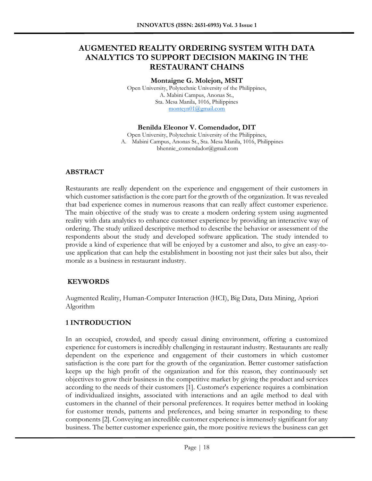# **AUGMENTED REALITY ORDERING SYSTEM WITH DATA ANALYTICS TO SUPPORT DECISION MAKING IN THE RESTAURANT CHAINS**

**Montaigne G. Molejon, MSIT**

Open University, Polytechnic University of the Philippines, A. Mabini Campus, Anonas St., Sta. Mesa Manila, 1016, Philippines [monteyn01@gmail.com](mailto:monteyn01@gmail.com)

#### **Benilda Eleonor V. Comendador, DIT**

Open University, Polytechnic University of the Philippines, A. Mabini Campus, Anonas St., Sta. Mesa Manila, 1016, Philippines bhennie\_comendador@gmail.com

#### **ABSTRACT**

Restaurants are really dependent on the experience and engagement of their customers in which customer satisfaction is the core part for the growth of the organization. It was revealed that bad experience comes in numerous reasons that can really affect customer experience. The main objective of the study was to create a modern ordering system using augmented reality with data analytics to enhance customer experience by providing an interactive way of ordering. The study utilized descriptive method to describe the behavior or assessment of the respondents about the study and developed software application. The study intended to provide a kind of experience that will be enjoyed by a customer and also, to give an easy-touse application that can help the establishment in boosting not just their sales but also, their morale as a business in restaurant industry.

#### **KEYWORDS**

Augmented Reality, Human-Computer Interaction (HCI), Big Data, Data Mining, Apriori Algorithm

## **1 INTRODUCTION**

In an occupied, crowded, and speedy casual dining environment, offering a customized experience for customers is incredibly challenging in restaurant industry. Restaurants are really dependent on the experience and engagement of their customers in which customer satisfaction is the core part for the growth of the organization. Better customer satisfaction keeps up the high profit of the organization and for this reason, they continuously set objectives to grow their business in the competitive market by giving the product and services according to the needs of their customers [1]. Customer's experience requires a combination of individualized insights, associated with interactions and an agile method to deal with customers in the channel of their personal preferences. It requires better method in looking for customer trends, patterns and preferences, and being smarter in responding to these components [2]. Conveying an incredible customer experience is immensely significant for any business. The better customer experience gain, the more positive reviews the business can get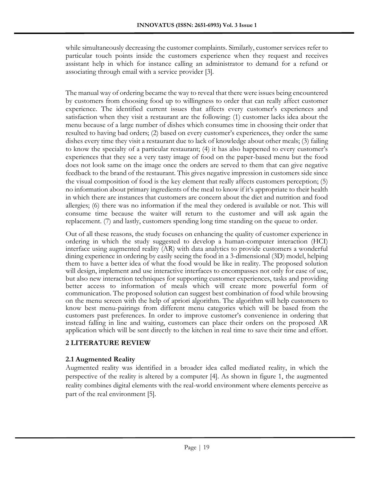while simultaneously decreasing the customer complaints. Similarly, customer services refer to particular touch points inside the customers experience when they request and receives assistant help in which for instance calling an administrator to demand for a refund or associating through email with a service provider [3].

The manual way of ordering became the way to reveal that there were issues being encountered by customers from choosing food up to willingness to order that can really affect customer experience. The identified current issues that affects every customer's experiences and satisfaction when they visit a restaurant are the following: (1) customer lacks idea about the menu because of a large number of dishes which consumes time in choosing their order that resulted to having bad orders; (2) based on every customer's experiences, they order the same dishes every time they visit a restaurant due to lack of knowledge about other meals; (3) failing to know the specialty of a particular restaurant; (4) it has also happened to every customer's experiences that they see a very tasty image of food on the paper-based menu but the food does not look same on the image once the orders are served to them that can give negative feedback to the brand of the restaurant. This gives negative impression in customers side since the visual composition of food is the key element that really affects customers perception; (5) no information about primary ingredients of the meal to know if it's appropriate to their health in which there are instances that customers are concern about the diet and nutrition and food allergies; (6) there was no information if the meal they ordered is available or not. This will consume time because the waiter will return to the customer and will ask again the replacement. (7) and lastly, customers spending long time standing on the queue to order.

Out of all these reasons, the study focuses on enhancing the quality of customer experience in ordering in which the study suggested to develop a human-computer interaction (HCI) interface using augmented reality (AR) with data analytics to provide customers a wonderful dining experience in ordering by easily seeing the food in a 3-dimensional (3D) model, helping them to have a better idea of what the food would be like in reality. The proposed solution will design, implement and use interactive interfaces to encompasses not only for ease of use, but also new interaction techniques for supporting customer experiences, tasks and providing better access to information of meals which will create more powerful form of communication. The proposed solution can suggest best combination of food while browsing on the menu screen with the help of apriori algorithm. The algorithm will help customers to know best menu-pairings from different menu categories which will be based from the customers past preferences. In order to improve customer's convenience in ordering that instead falling in line and waiting, customers can place their orders on the proposed AR application which will be sent directly to the kitchen in real time to save their time and effort.

# **2 LITERATURE REVIEW**

## **2.1 Augmented Reality**

Augmented reality was identified in a broader idea called mediated reality, in which the perspective of the reality is altered by a computer [4]. As shown in figure 1, the augmented reality combines digital elements with the real-world environment where elements perceive as part of the real environment [5].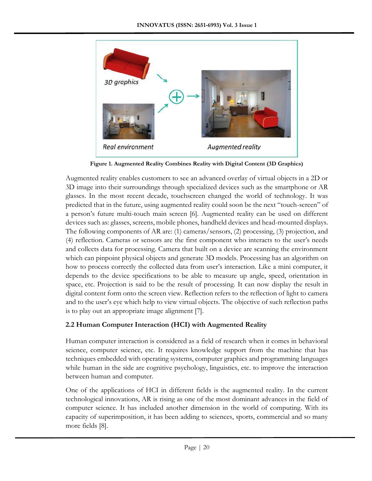

**Figure 1. Augmented Reality Combines Reality with Digital Content (3D Graphics)**

Augmented reality enables customers to see an advanced overlay of virtual objects in a 2D or 3D image into their surroundings through specialized devices such as the smartphone or AR glasses. In the most recent decade, touchscreen changed the world of technology. It was predicted that in the future, using augmented reality could soon be the next "touch-screen" of a person's future multi-touch main screen [6]. Augmented reality can be used on different devices such as: glasses, screens, mobile phones, handheld devices and head-mounted displays. The following components of AR are: (1) cameras/sensors, (2) processing, (3) projection, and (4) reflection. Cameras or sensors are the first component who interacts to the user's needs and collects data for processing. Camera that built on a device are scanning the environment which can pinpoint physical objects and generate 3D models. Processing has an algorithm on how to process correctly the collected data from user's interaction. Like a mini computer, it depends to the device specifications to be able to measure up angle, speed, orientation in space, etc. Projection is said to be the result of processing. It can now display the result in digital content form onto the screen view. Reflection refers to the reflection of light to camera and to the user's eye which help to view virtual objects. The objective of such reflection paths is to play out an appropriate image alignment [7].

## **2.2 Human Computer Interaction (HCI) with Augmented Reality**

Human computer interaction is considered as a field of research when it comes in behavioral science, computer science, etc. It requires knowledge support from the machine that has techniques embedded with operating systems, computer graphics and programming languages while human in the side are cognitive psychology, linguistics, etc. to improve the interaction between human and computer.

One of the applications of HCI in different fields is the augmented reality. In the current technological innovations, AR is rising as one of the most dominant advances in the field of computer science. It has included another dimension in the world of computing. With its capacity of superimposition, it has been adding to sciences, sports, commercial and so many more fields [8].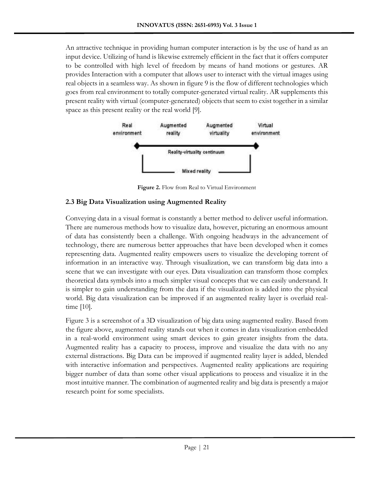An attractive technique in providing human computer interaction is by the use of hand as an input device. Utilizing of hand is likewise extremely efficient in the fact that it offers computer to be controlled with high level of freedom by means of hand motions or gestures. AR provides Interaction with a computer that allows user to interact with the virtual images using real objects in a seamless way. As shown in figure 9 is the flow of different technologies which goes from real environment to totally computer-generated virtual reality. AR supplements this present reality with virtual (computer-generated) objects that seem to exist together in a similar space as this present reality or the real world [9].



**Figure 2.** Flow from Real to Virtual Environment

# **2.3 Big Data Visualization using Augmented Reality**

Conveying data in a visual format is constantly a better method to deliver useful information. There are numerous methods how to visualize data, however, picturing an enormous amount of data has consistently been a challenge. With ongoing headways in the advancement of technology, there are numerous better approaches that have been developed when it comes representing data. Augmented reality empowers users to visualize the developing torrent of information in an interactive way. Through visualization, we can transform big data into a scene that we can investigate with our eyes. Data visualization can transform those complex theoretical data symbols into a much simpler visual concepts that we can easily understand. It is simpler to gain understanding from the data if the visualization is added into the physical world. Big data visualization can be improved if an augmented reality layer is overlaid realtime [10].

Figure 3 is a screenshot of a 3D visualization of big data using augmented reality. Based from the figure above, augmented reality stands out when it comes in data visualization embedded in a real-world environment using smart devices to gain greater insights from the data. Augmented reality has a capacity to process, improve and visualize the data with no any external distractions. Big Data can be improved if augmented reality layer is added, blended with interactive information and perspectives. Augmented reality applications are requiring bigger number of data than some other visual applications to process and visualize it in the most intuitive manner. The combination of augmented reality and big data is presently a major research point for some specialists.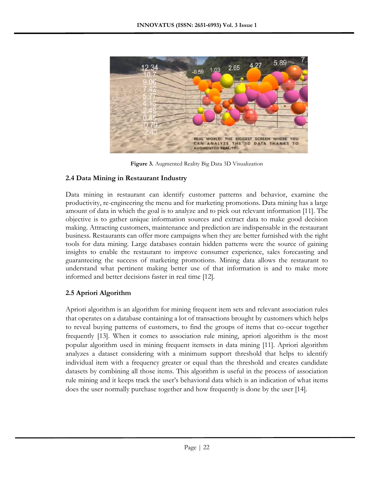

**Figure 3.** Augmented Reality Big Data 3D Visualization

## **2.4 Data Mining in Restaurant Industry**

Data mining in restaurant can identify customer patterns and behavior, examine the productivity, re-engineering the menu and for marketing promotions. Data mining has a large amount of data in which the goal is to analyze and to pick out relevant information [11]. The objective is to gather unique information sources and extract data to make good decision making. Attracting customers, maintenance and prediction are indispensable in the restaurant business. Restaurants can offer more campaigns when they are better furnished with the right tools for data mining. Large databases contain hidden patterns were the source of gaining insights to enable the restaurant to improve consumer experience, sales forecasting and guaranteeing the success of marketing promotions. Mining data allows the restaurant to understand what pertinent making better use of that information is and to make more informed and better decisions faster in real time [12].

## **2.5 Apriori Algorithm**

Apriori algorithm is an algorithm for mining frequent item sets and relevant association rules that operates on a database containing a lot of transactions brought by customers which helps to reveal buying patterns of customers, to find the groups of items that co-occur together frequently [13]. When it comes to association rule mining, apriori algorithm is the most popular algorithm used in mining frequent itemsets in data mining [11]. Apriori algorithm analyzes a dataset considering with a minimum support threshold that helps to identify individual item with a frequency greater or equal than the threshold and creates candidate datasets by combining all those items. This algorithm is useful in the process of association rule mining and it keeps track the user's behavioral data which is an indication of what items does the user normally purchase together and how frequently is done by the user [14].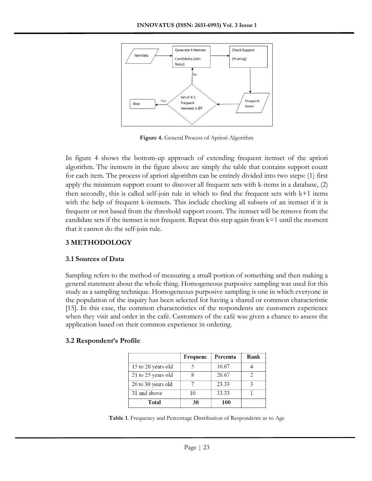

**Figure 4.** General Process of Apriori Algorithm

In figure 4 shows the bottom-up approach of extending frequent itemset of the apriori algorithm. The itemsets in the figure above are simply the table that contains support count for each item. The process of apriori algorithm can be entirely divided into two steps: (1) first apply the minimum support count to discover all frequent sets with k-items in a database, (2) then secondly, this is called self-join rule in which to find the frequent sets with  $k+1$  items with the help of frequent k-itemsets. This include checking all subsets of an itemset if it is frequent or not based from the threshold support count. The itemset will be remove from the candidate sets if the itemset is not frequent. Repeat this step again from  $k=1$  until the moment that it cannot do the self-join rule.

## **3 METHODOLOGY**

## **3.1 Sources of Data**

Sampling refers to the method of measuring a small portion of something and then making a general statement about the whole thing. Homogeneous purposive sampling was used for this study as a sampling technique. Homogeneous purposive sampling is one in which everyone in the population of the inquiry has been selected for having a shared or common characteristic [15]. In this case, the common characteristics of the respondents are customers experience when they visit and order in the café. Customers of the café was given a chance to assess the application based on their common experience in ordering.

## **3.2 Respondent's Profile**

|                    | Frequenc | Percenta | Rank |
|--------------------|----------|----------|------|
| 15 to 20 years old |          | 16.67    |      |
| 21 to 25 years old |          | 26.67    |      |
| 26 to 30 years old |          | 23.33    |      |
| 31 and above       |          | 33.33    |      |
| <b>Total</b>       | 30       | 100      |      |

**Table 1**. Frequency and Percentage Distribution of Respondents as to Age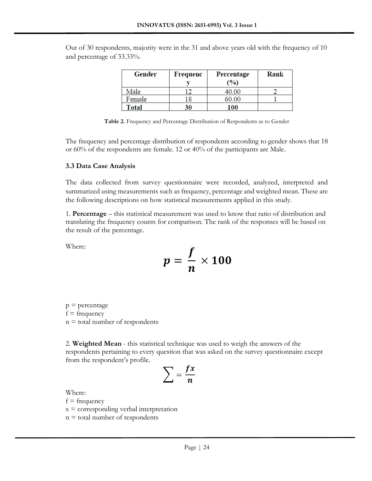| Gender       | Frequenc | Percentage | Rank |
|--------------|----------|------------|------|
|              |          | $($ %)     |      |
| Male         |          | 40.00      |      |
| Female       | 8        | 60.00      |      |
| <b>Total</b> | 30       | 100        |      |

Out of 30 respondents, majority were in the 31 and above years old with the frequency of 10 and percentage of 33.33%.

**Table 2.** Frequency and Percentage Distribution of Respondents as to Gender

The frequency and percentage distribution of respondents according to gender shows that 18 or 60% of the respondents are female. 12 or 40% of the participants are Male.

#### **3.3 Data Case Analysis**

The data collected from survey questionnaire were recorded, analyzed, interpreted and summarized using measurements such as frequency, percentage and weighted mean. These are the following descriptions on how statistical measurements applied in this study.

1. **Percentage** – this statistical measurement was used to know that ratio of distribution and translating the frequency counts for comparison. The rank of the responses will be based on the result of the percentage.

Where:

$$
p=\frac{f}{n}\times 100
$$

 $p =$  percentage  $f = frequency$  $n =$  total number of respondents

2. **Weighted Mean** - this statistical technique was used to weigh the answers of the respondents pertaining to every question that was asked on the survey questionnaire except from the respondent's profile.

$$
\sum = \frac{fx}{n}
$$

Where:

 $f = frequency$ 

 $x =$  corresponding verbal interpretation

 $n =$  total number of respondents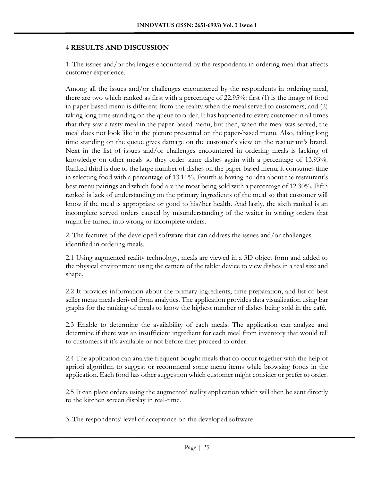#### **4 RESULTS AND DISCUSSION**

1. The issues and/or challenges encountered by the respondents in ordering meal that affects customer experience.

Among all the issues and/or challenges encountered by the respondents in ordering meal, there are two which ranked as first with a percentage of 22.95%: first (1) is the image of food in paper-based menu is different from the reality when the meal served to customers; and (2) taking long time standing on the queue to order. It has happened to every customer in all times that they saw a tasty meal in the paper-based menu, but then, when the meal was served, the meal does not look like in the picture presented on the paper-based menu. Also, taking long time standing on the queue gives damage on the customer's view on the restaurant's brand. Next in the list of issues and/or challenges encountered in ordering meals is lacking of knowledge on other meals so they order same dishes again with a percentage of 13.93%. Ranked third is due to the large number of dishes on the paper-based menu, it consumes time in selecting food with a percentage of 13.11%. Fourth is having no idea about the restaurant's best menu pairings and which food are the most being sold with a percentage of 12.30%. Fifth ranked is lack of understanding on the primary ingredients of the meal so that customer will know if the meal is appropriate or good to his/her health. And lastly, the sixth ranked is an incomplete served orders caused by misunderstanding of the waiter in writing orders that might be turned into wrong or incomplete orders.

2. The features of the developed software that can address the issues and/or challenges identified in ordering meals.

2.1 Using augmented reality technology, meals are viewed in a 3D object form and added to the physical environment using the camera of the tablet device to view dishes in a real size and shape.

2.2 It provides information about the primary ingredients, time preparation, and list of best seller menu meals derived from analytics. The application provides data visualization using bar graphs for the ranking of meals to know the highest number of dishes being sold in the café.

2.3 Enable to determine the availability of each meals. The application can analyze and determine if there was an insufficient ingredient for each meal from inventory that would tell to customers if it's available or not before they proceed to order.

2.4 The application can analyze frequent bought meals that co-occur together with the help of apriori algorithm to suggest or recommend some menu items while browsing foods in the application. Each food has other suggestion which customer might consider or prefer to order.

2.5 It can place orders using the augmented reality application which will then be sent directly to the kitchen screen display in real-time.

3. The respondents' level of acceptance on the developed software.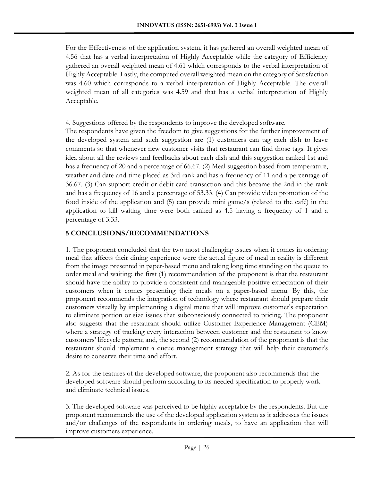For the Effectiveness of the application system, it has gathered an overall weighted mean of 4.56 that has a verbal interpretation of Highly Acceptable while the category of Efficiency gathered an overall weighted mean of 4.61 which corresponds to the verbal interpretation of Highly Acceptable. Lastly, the computed overall weighted mean on the category of Satisfaction was 4.60 which corresponds to a verbal interpretation of Highly Acceptable. The overall weighted mean of all categories was 4.59 and that has a verbal interpretation of Highly Acceptable.

4. Suggestions offered by the respondents to improve the developed software.

The respondents have given the freedom to give suggestions for the further improvement of the developed system and such suggestion are (1) customers can tag each dish to leave comments so that whenever new customer visits that restaurant can find those tags. It gives idea about all the reviews and feedbacks about each dish and this suggestion ranked 1st and has a frequency of 20 and a percentage of 66.67. (2) Meal suggestion based from temperature, weather and date and time placed as 3rd rank and has a frequency of 11 and a percentage of 36.67. (3) Can support credit or debit card transaction and this became the 2nd in the rank and has a frequency of 16 and a percentage of 53.33. (4) Can provide video promotion of the food inside of the application and (5) can provide mini game/s (related to the café) in the application to kill waiting time were both ranked as 4.5 having a frequency of 1 and a percentage of 3.33.

## **5 CONCLUSIONS/RECOMMENDATIONS**

1. The proponent concluded that the two most challenging issues when it comes in ordering meal that affects their dining experience were the actual figure of meal in reality is different from the image presented in paper-based menu and taking long time standing on the queue to order meal and waiting; the first (1) recommendation of the proponent is that the restaurant should have the ability to provide a consistent and manageable positive expectation of their customers when it comes presenting their meals on a paper-based menu. By this, the proponent recommends the integration of technology where restaurant should prepare their customers visually by implementing a digital menu that will improve customer's expectation to eliminate portion or size issues that subconsciously connected to pricing. The proponent also suggests that the restaurant should utilize Customer Experience Management (CEM) where a strategy of tracking every interaction between customer and the restaurant to know customers' lifecycle pattern; and, the second (2) recommendation of the proponent is that the restaurant should implement a queue management strategy that will help their customer's desire to conserve their time and effort.

2. As for the features of the developed software, the proponent also recommends that the developed software should perform according to its needed specification to properly work and eliminate technical issues.

3. The developed software was perceived to be highly acceptable by the respondents. But the proponent recommends the use of the developed application system as it addresses the issues and/or challenges of the respondents in ordering meals, to have an application that will improve customers experience.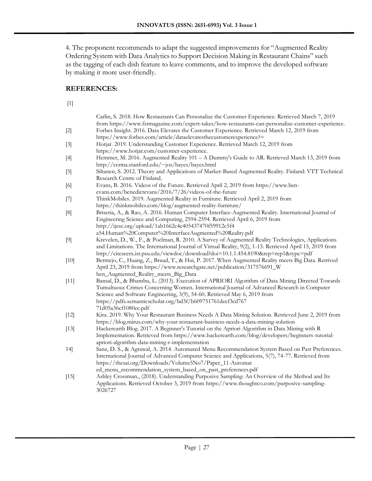4. The proponent recommends to adapt the suggested improvements for "Augmented Reality Ordering System with Data Analytics to Support Decision Making in Restaurant Chains" such as the tagging of each dish feature to leave comments, and to improve the developed software by making it more user-friendly.

#### **REFERENCES:**

[1]

|        | Carlin, S. 2018. How Restaurants Can Personalize the Customer Experience. Retrieved March 7, 2019<br>from https://www.fsrmagazine.com/expert-takes/how-restaurants-can-personalize-customer-experience.                                                                                                                                                          |
|--------|------------------------------------------------------------------------------------------------------------------------------------------------------------------------------------------------------------------------------------------------------------------------------------------------------------------------------------------------------------------|
| $[2]$  | Forbes Insight. 2016. Data Elevates the Customer Experience. Retrieved March 12, 2019 from<br>https://www.forbes.com/article/dataelevatesthecustomerexperience?=                                                                                                                                                                                                 |
| $[3]$  | Hotjar. 2019. Understanding Customer Experience. Retrieved March 12, 2019 from<br>https://www.hotjar.com/customer-experience.                                                                                                                                                                                                                                    |
| $[4]$  | Hemmer, M. 2016. Augmented Reality 101 - A Dummy's Guide to AR. Retrieved March 13, 2019 from<br>http://ccrma.stanford.edu/~jos/bayes/bayes.html                                                                                                                                                                                                                 |
| $[5]$  | Siltanen, S. 2012. Theory and Applications of Marker-Based Augmented Reality. Finland: VTT Technical<br>Research Centre of Finland.                                                                                                                                                                                                                              |
| $[6]$  | Evans, B. 2016. Videos of the Future. Retrieved April 2, 2019 from https://www.ben-<br>evans.com/benedictevans/2016/7/26/videos-of-the-future                                                                                                                                                                                                                    |
| $[7]$  | ThinkMobiles. 2019. Augmented Reality in Furniture. Retrieved April 2, 2019 from<br>https://thinkmobiles.com/blog/augmented-reality-furniture/                                                                                                                                                                                                                   |
| [8]    | Briseria, A., & Rao, A. 2016. Human Computer Interface-Augmented Reality. International Journal of<br>Engineering Science and Computing, 2594-2594. Retrieved April 6, 2019 from<br>http://ijesc.org/upload/1ab1662c4e405437470f59912c5f4                                                                                                                        |
| $[9]$  | a54.Human%20Computer%20InterfaceAugmented%20Reality.pdf<br>Krevelen, D., W., F., & Poelman, R. 2010. A Survey of Augmented Reality Technologies, Applications<br>and Limitations. The International Journal of Virtual Reality, 9(2), 1-15. Retrieved April 15, 2019 from<br>http://citeseerx.ist.psu.edu/viewdoc/download?doi=10.1.1.454.8190&rep=rep1&type=pdf |
| $[10]$ | Bermejo, C., Huang, Z., Braud, T., & Hui, P. 2017. When Augmented Reality meets Big Data. Retrived<br>April 23, 2019 from https://www.researchgate.net/publication/317576691_W<br>hen_Augmented_Reality_meets_Big_Data                                                                                                                                           |
| $[11]$ | Bansal, D., & Bhambu, L. (2013). Execution of APRIORI Algorithm of Data Mining Directed Towards<br>Tumultuous Crimes Concerning Women. International Journal of Advanced Research in Computer<br>Science and Software Engineering, 3(9), 54-60. Retrieved May 6, 2019 from<br>https://pdfs.semanticscholar.org/bd3f/b609751761decf3cd767<br>71d05a36cf1080ec.pdf |
| $[12]$ | Kira. 2019. Why Your Restaurant Business Needs A Data Mining Solution. Retrieved June 2, 2019 from<br>https://blog.mirus.com/why-your-restaurant-business-needs-a-data-mining-solution                                                                                                                                                                           |
| $[13]$ | Hackerearth Blog. 2017. A Beginner's Tutorial on the Apriori Algorithm in Data Mining with R<br>Implementation. Retrieved from https://www.hackerearth.com/blog/developers/beginners-tutorial-<br>apriori-algorithm-data-mining-r-implementation                                                                                                                 |
| 14]    | Sanz, D. S., & Agrawal, A. 2014. Automated Menu Recommendation System Based on Past Preferences.<br>International Journal of Advanced Computer Science and Applications, 5(7), 74-77. Retrieved from<br>https://thesai.org/Downloads/Volume5No7/Paper_11-Automat                                                                                                 |
| $[15]$ | ed_menu_recommendation_system_based_on_past_preferences.pdf<br>Ashley Crossman., (2018). Understanding Purposive Sampling: An Overview of the Method and Its<br>Applications. Retrieved October 3, 2019 from https://www.thoughtco.com/purposive-sampling-<br>3026727                                                                                            |